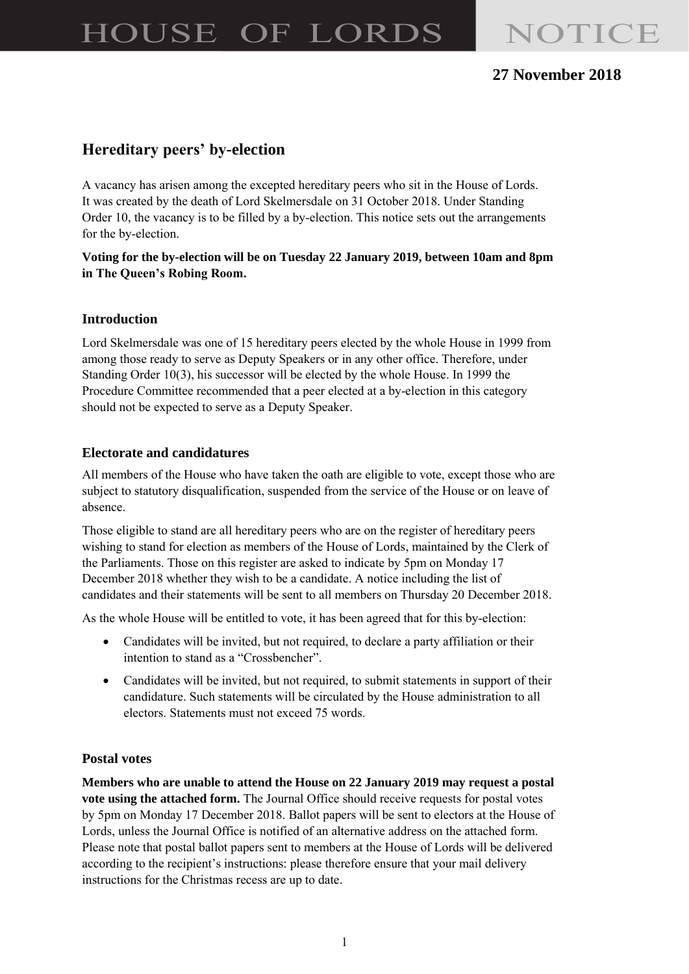# HOUSE OF LORDS NOTICE

### **27 November 2018**

## **Hereditary peers' by-election**

A vacancy has arisen among the excepted hereditary peers who sit in the House of Lords. It was created by the death of Lord Skelmersdale on 31 October 2018. Under Standing Order 10, the vacancy is to be filled by a by-election. This notice sets out the arrangements for the by-election.

#### **Voting for the by-election will be on Tuesday 22 January 2019, between 10am and 8pm in The Queen's Robing Room.**

#### **Introduction**

Lord Skelmersdale was one of 15 hereditary peers elected by the whole House in 1999 from among those ready to serve as Deputy Speakers or in any other office. Therefore, under Standing Order 10(3), his successor will be elected by the whole House. In 1999 the Procedure Committee recommended that a peer elected at a by-election in this category should not be expected to serve as a Deputy Speaker.

#### **Electorate and candidatures**

All members of the House who have taken the oath are eligible to vote, except those who are subject to statutory disqualification, suspended from the service of the House or on leave of absence.

Those eligible to stand are all hereditary peers who are on the register of hereditary peers wishing to stand for election as members of the House of Lords, maintained by the Clerk of the Parliaments. Those on this register are asked to indicate by 5pm on Monday 17 December 2018 whether they wish to be a candidate. A notice including the list of candidates and their statements will be sent to all members on Thursday 20 December 2018.

As the whole House will be entitled to vote, it has been agreed that for this by-election:

- Candidates will be invited, but not required, to declare a party affiliation or their intention to stand as a "Crossbencher".
- Candidates will be invited, but not required, to submit statements in support of their candidature. Such statements will be circulated by the House administration to all electors. Statements must not exceed 75 words.

#### **Postal votes**

**Members who are unable to attend the House on 22 January 2019 may request a postal vote using the attached form.** The Journal Office should receive requests for postal votes by 5pm on Monday 17 December 2018. Ballot papers will be sent to electors at the House of Lords, unless the Journal Office is notified of an alternative address on the attached form. Please note that postal ballot papers sent to members at the House of Lords will be delivered according to the recipient's instructions: please therefore ensure that your mail delivery instructions for the Christmas recess are up to date.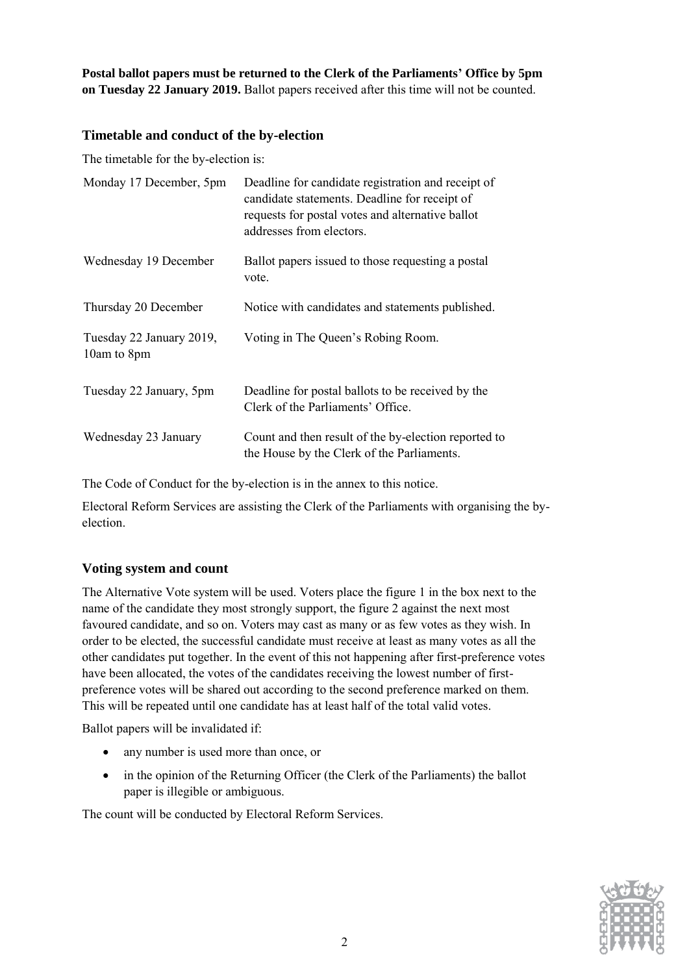**Postal ballot papers must be returned to the Clerk of the Parliaments' Office by 5pm on Tuesday 22 January 2019.** Ballot papers received after this time will not be counted.

#### **Timetable and conduct of the by-election**

The timetable for the by-election is:

| Monday 17 December, 5pm                 | Deadline for candidate registration and receipt of<br>candidate statements. Deadline for receipt of<br>requests for postal votes and alternative ballot<br>addresses from electors. |
|-----------------------------------------|-------------------------------------------------------------------------------------------------------------------------------------------------------------------------------------|
| Wednesday 19 December                   | Ballot papers issued to those requesting a postal<br>vote.                                                                                                                          |
| Thursday 20 December                    | Notice with candidates and statements published.                                                                                                                                    |
| Tuesday 22 January 2019,<br>10am to 8pm | Voting in The Queen's Robing Room.                                                                                                                                                  |
| Tuesday 22 January, 5pm                 | Deadline for postal ballots to be received by the<br>Clerk of the Parliaments' Office.                                                                                              |
| Wednesday 23 January                    | Count and then result of the by-election reported to<br>the House by the Clerk of the Parliaments.                                                                                  |

The Code of Conduct for the by-election is in the annex to this notice.

Electoral Reform Services are assisting the Clerk of the Parliaments with organising the byelection.

#### **Voting system and count**

The Alternative Vote system will be used. Voters place the figure 1 in the box next to the name of the candidate they most strongly support, the figure 2 against the next most favoured candidate, and so on. Voters may cast as many or as few votes as they wish. In order to be elected, the successful candidate must receive at least as many votes as all the other candidates put together. In the event of this not happening after first-preference votes have been allocated, the votes of the candidates receiving the lowest number of firstpreference votes will be shared out according to the second preference marked on them. This will be repeated until one candidate has at least half of the total valid votes.

Ballot papers will be invalidated if:

- any number is used more than once, or
- in the opinion of the Returning Officer (the Clerk of the Parliaments) the ballot paper is illegible or ambiguous.

The count will be conducted by Electoral Reform Services.

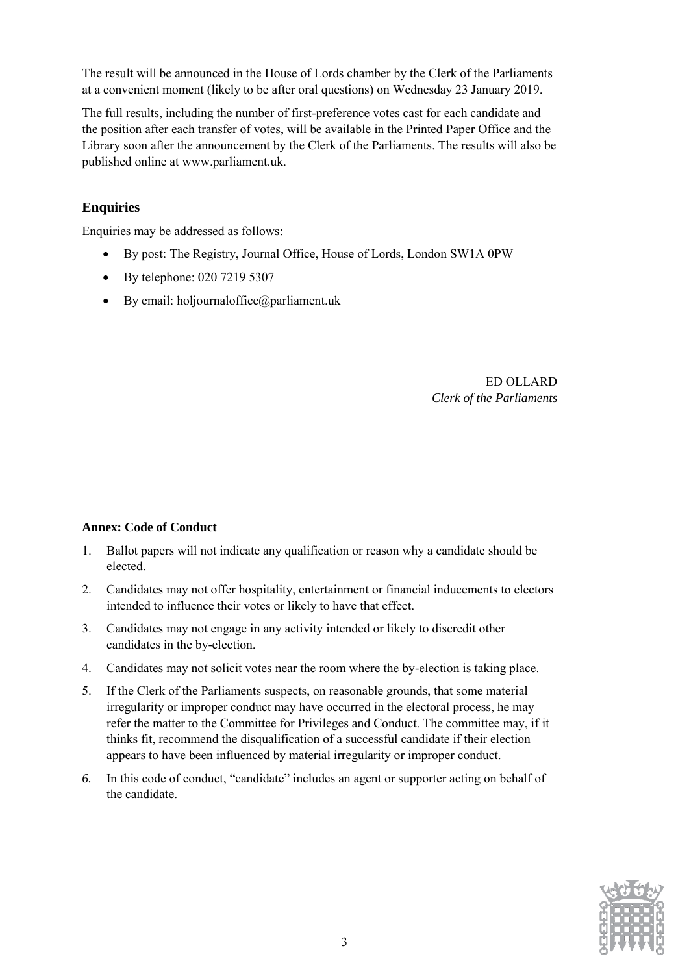The result will be announced in the House of Lords chamber by the Clerk of the Parliaments at a convenient moment (likely to be after oral questions) on Wednesday 23 January 2019.

The full results, including the number of first-preference votes cast for each candidate and the position after each transfer of votes, will be available in the Printed Paper Office and the Library soon after the announcement by the Clerk of the Parliaments. The results will also be published online at [www.parliament.uk.](http://www.parliament.uk/)

#### **Enquiries**

Enquiries may be addressed as follows:

- By post: The Registry, Journal Office, House of Lords, London SW1A 0PW
- By telephone: 020 7219 5307
- By email: holjournaloffice $(\partial \rho)$  parliament.uk

ED OLLARD *Clerk of the Parliaments*

#### **Annex: Code of Conduct**

- 1. Ballot papers will not indicate any qualification or reason why a candidate should be elected.
- 2. Candidates may not offer hospitality, entertainment or financial inducements to electors intended to influence their votes or likely to have that effect.
- 3. Candidates may not engage in any activity intended or likely to discredit other candidates in the by-election.
- 4. Candidates may not solicit votes near the room where the by-election is taking place.
- 5. If the Clerk of the Parliaments suspects, on reasonable grounds, that some material irregularity or improper conduct may have occurred in the electoral process, he may refer the matter to the Committee for Privileges and Conduct. The committee may, if it thinks fit, recommend the disqualification of a successful candidate if their election appears to have been influenced by material irregularity or improper conduct.
- *6.* In this code of conduct, "candidate" includes an agent or supporter acting on behalf of the candidate.